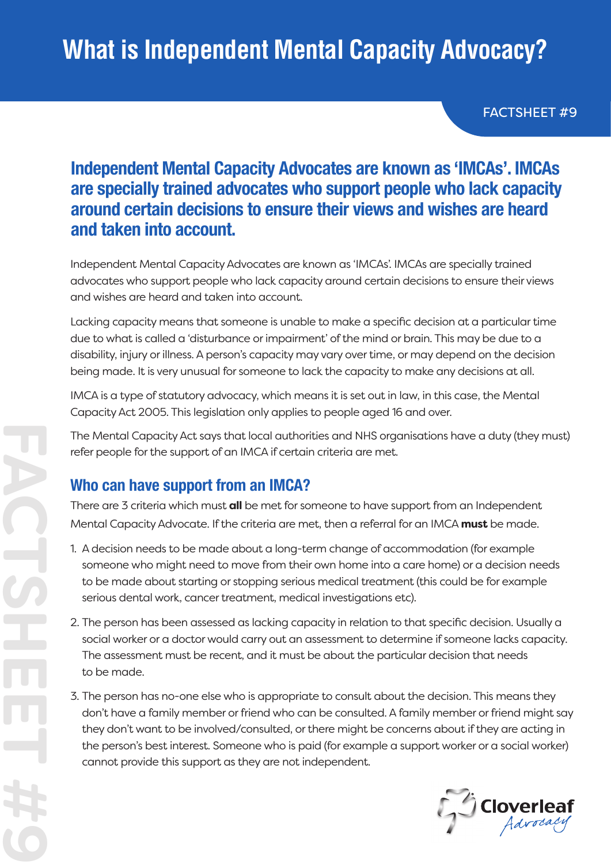FACTSHEET #9

## **Independent Mental Capacity Advocates are known as 'IMCAs'. IMCAs are specially trained advocates who support people who lack capacity around certain decisions to ensure their views and wishes are heard and taken into account.**

Independent Mental Capacity Advocates are known as 'IMCAs'. IMCAs are specially trained advocates who support people who lack capacity around certain decisions to ensure their views and wishes are heard and taken into account.

Lacking capacity means that someone is unable to make a specific decision at a particular time due to what is called a 'disturbance or impairment' of the mind or brain. This may be due to a disability, injury or illness. A person's capacity may vary over time, or may depend on the decision being made. It is very unusual for someone to lack the capacity to make any decisions at all.

IMCA is a type of statutory advocacy, which means it is set out in law, in this case, the Mental Capacity Act 2005. This legislation only applies to people aged 16 and over.

The Mental Capacity Act says that local authorities and NHS organisations have a duty (they must) refer people for the support of an IMCA if certain criteria are met.

### **Who can have support from an IMCA?**

There are 3 criteria which must **all** be met for someone to have support from an Independent Mental Capacity Advocate. If the criteria are met, then a referral for an IMCA **must** be made.

- 1. A decision needs to be made about a long-term change of accommodation (for example someone who might need to move from their own home into a care home) or a decision needs to be made about starting or stopping serious medical treatment (this could be for example serious dental work, cancer treatment, medical investigations etc).
- 2. The person has been assessed as lacking capacity in relation to that specific decision. Usually a social worker or a doctor would carry out an assessment to determine if someone lacks capacity. The assessment must be recent, and it must be about the particular decision that needs to be made.
- 3. The person has no-one else who is appropriate to consult about the decision. This means they don't have a family member or friend who can be consulted. A family member or friend might say they don't want to be involved/consulted, or there might be concerns about if they are acting in the person's best interest. Someone who is paid (for example a support worker or a social worker) cannot provide this support as they are not independent.

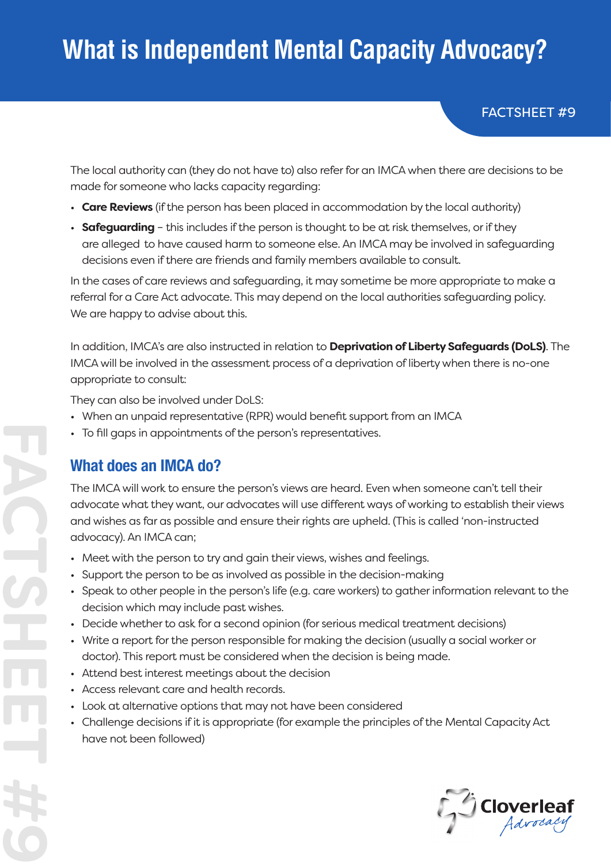# **What is Independent Mental Capacity Advocacy?**

FACTSHEET #9

The local authority can (they do not have to) also refer for an IMCA when there are decisions to be made for someone who lacks capacity regarding:

- **Care Reviews** (if the person has been placed in accommodation by the local authority)
- **Safeguarding** this includes if the person is thought to be at risk themselves, or if they are alleged to have caused harm to someone else. An IMCA may be involved in safeguarding decisions even if there are friends and family members available to consult.

In the cases of care reviews and safeguarding, it may sometime be more appropriate to make a referral for a Care Act advocate. This may depend on the local authorities safeguarding policy. We are happy to advise about this.

In addition, IMCA's are also instructed in relation to **Deprivation of Liberty Safeguards (DoLS)**. The IMCA will be involved in the assessment process of a deprivation of liberty when there is no-one appropriate to consult:

They can also be involved under DoLS:

- When an unpaid representative (RPR) would benefit support from an IMCA
- To fill gaps in appointments of the person's representatives.

### **What does an IMCA do?**

**FACTSHEET #9**

The IMCA will work to ensure the person's views are heard. Even when someone can't tell their advocate what they want, our advocates will use different ways of working to establish their views and wishes as far as possible and ensure their rights are upheld. (This is called 'non-instructed advocacy). An IMCA can;

- Meet with the person to try and gain their views, wishes and feelings.
- Support the person to be as involved as possible in the decision-making
- Speak to other people in the person's life (e.g. care workers) to gather information relevant to the decision which may include past wishes.
- Decide whether to ask for a second opinion (for serious medical treatment decisions)
- Write a report for the person responsible for making the decision (usually a social worker or doctor). This report must be considered when the decision is being made.
- Attend best interest meetings about the decision
- Access relevant care and health records.
- Look at alternative options that may not have been considered
- Challenge decisions if it is appropriate (for example the principles of the Mental Capacity Act have not been followed)